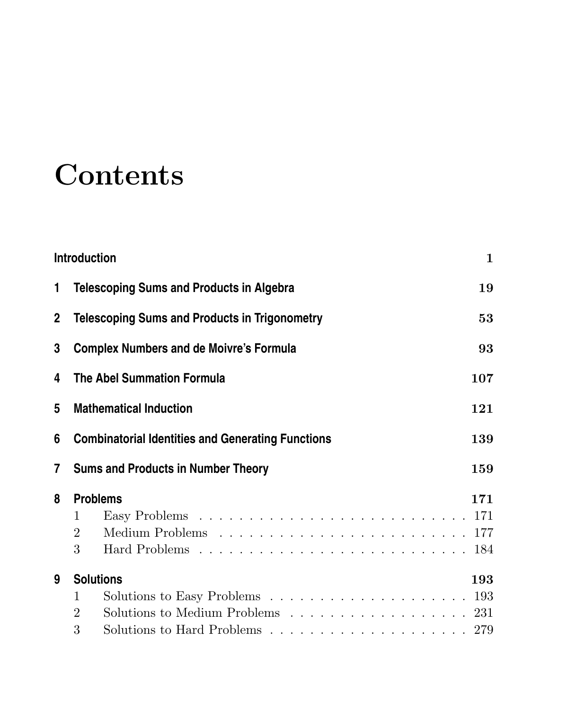## **Contents**

|              | Introduction                                                                                                                       | 1   |
|--------------|------------------------------------------------------------------------------------------------------------------------------------|-----|
| 1.           | <b>Telescoping Sums and Products in Algebra</b>                                                                                    | 19  |
| $\mathbf{2}$ | <b>Telescoping Sums and Products in Trigonometry</b>                                                                               | 53  |
| 3            | <b>Complex Numbers and de Moivre's Formula</b>                                                                                     | 93  |
| 4            | <b>The Abel Summation Formula</b>                                                                                                  | 107 |
| 5            | <b>Mathematical Induction</b>                                                                                                      | 121 |
| 6            | <b>Combinatorial Identities and Generating Functions</b>                                                                           | 139 |
| 7            | <b>Sums and Products in Number Theory</b>                                                                                          | 159 |
| 8            | <b>Problems</b><br>1<br>$\overline{2}$<br>3                                                                                        | 171 |
| 9            | <b>Solutions</b><br>$\mathbf{1}$<br>Solutions to Medium Problems $\ldots \ldots \ldots \ldots \ldots \ldots 231$<br>$\overline{2}$ | 193 |
|              | 3                                                                                                                                  |     |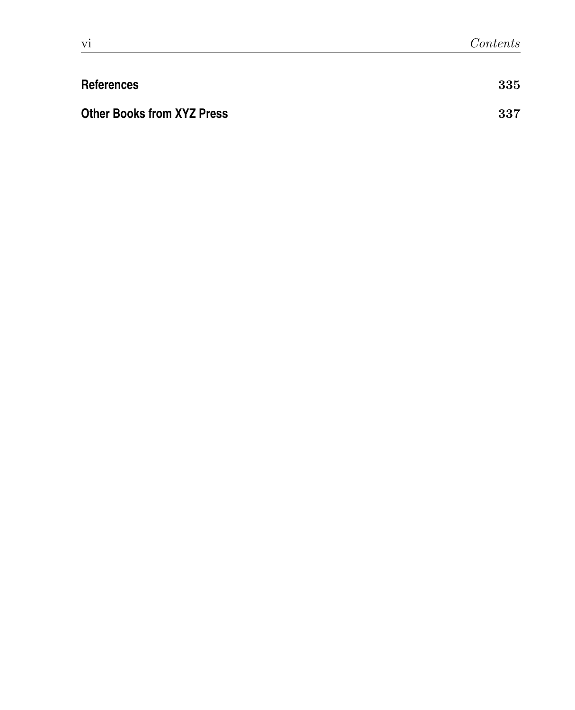| <b>References</b>                 | 335 |
|-----------------------------------|-----|
| <b>Other Books from XYZ Press</b> | 337 |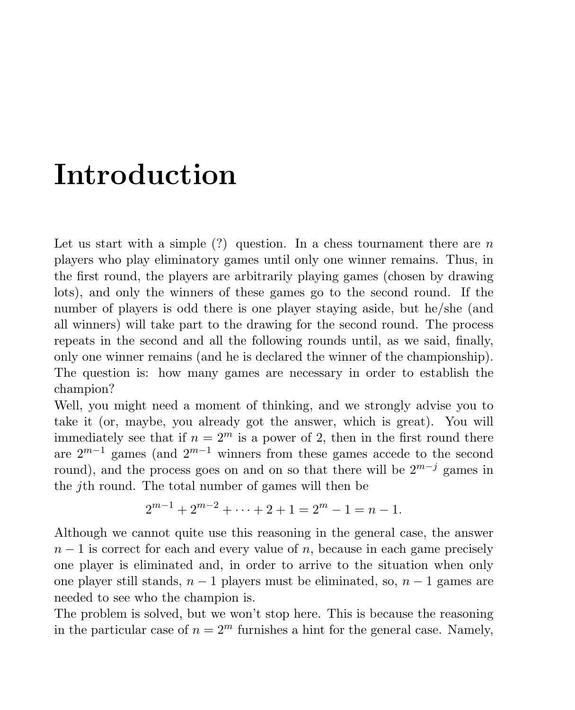## Introduction

Let us start with a simple  $(?)$  question. In a chess tournament there are n players who play eliminatory games until only one winner remains. Thus, in the first round, the players are arbitrarily playing games (chosen by drawing lots), and only the winners of these games go to the second round. If the number of players is odd there is one player staying aside, but he/she (and all winners) will take part to the drawing for the second round. The process repeats in the second and all the following rounds until, as we said, finally, only one winner remains (and he is declared the winner of the championship). The question is: how many games are necessary in order to establish the champion?

Well, you might need a moment of thinking, and we strongly advise you to take it (or, maybe, you already got the answer, which is great). You will immediately see that if  $n = 2^m$  is a power of 2, then in the first round there are  $2^{m-1}$  games (and  $2^{m-1}$  winners from these games accede to the second round), and the process goes on and on so that there will be  $2^{m-j}$  games in the jth round. The total number of games will then be

$$
2^{m-1} + 2^{m-2} + \dots + 2 + 1 = 2^m - 1 = n - 1.
$$

Although we cannot quite use this reasoning in the general case, the answer  $n-1$  is correct for each and every value of n, because in each game precisely one player is eliminated and, in order to arrive to the situation when only one player still stands,  $n-1$  players must be eliminated, so,  $n-1$  games are needed to see who the champion is.

The problem is solved, but we won't stop here. This is because the reasoning in the particular case of  $n = 2^m$  furnishes a hint for the general case. Namely,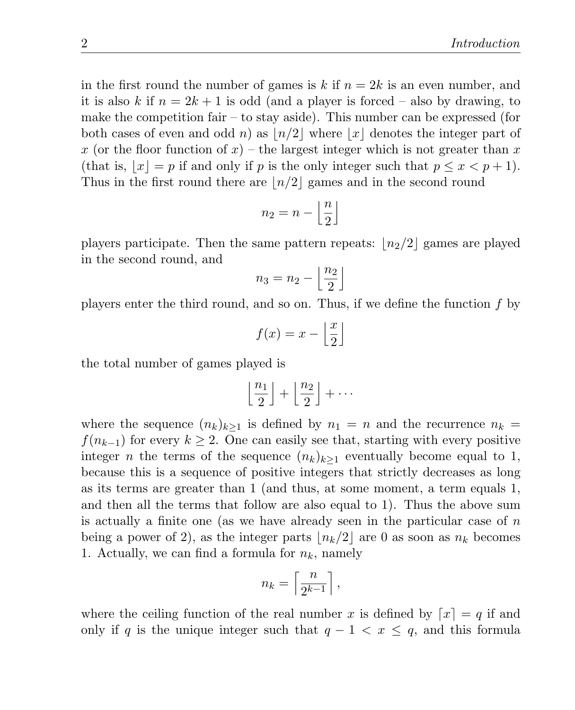in the first round the number of games is k if  $n = 2k$  is an even number, and it is also k if  $n = 2k + 1$  is odd (and a player is forced – also by drawing, to make the competition fair – to stay aside). This number can be expressed (for both cases of even and odd n) as  $\lfloor n/2 \rfloor$  where  $\lfloor x \rfloor$  denotes the integer part of x (or the floor function of x) – the largest integer which is not greater than x (that is,  $|x| = p$  if and only if p is the only integer such that  $p \leq x < p + 1$ ). Thus in the first round there are  $\lfloor n/2 \rfloor$  games and in the second round

$$
n_2 = n - \left\lfloor \frac{n}{2} \right\rfloor
$$

players participate. Then the same pattern repeats:  $\lfloor n_2/2 \rfloor$  games are played in the second round, and

$$
n_3 = n_2 - \left\lfloor \frac{n_2}{2} \right\rfloor
$$

players enter the third round, and so on. Thus, if we define the function f by

$$
f(x) = x - \left\lfloor \frac{x}{2} \right\rfloor
$$

the total number of games played is

$$
\left\lfloor \frac{n_1}{2} \right\rfloor + \left\lfloor \frac{n_2}{2} \right\rfloor + \cdots
$$

where the sequence  $(n_k)_{k>1}$  is defined by  $n_1 = n$  and the recurrence  $n_k =$  $f(n_{k-1})$  for every  $k \geq 2$ . One can easily see that, starting with every positive integer *n* the terms of the sequence  $(n_k)_{k>1}$  eventually become equal to 1, because this is a sequence of positive integers that strictly decreases as long as its terms are greater than 1 (and thus, at some moment, a term equals 1, and then all the terms that follow are also equal to 1). Thus the above sum is actually a finite one (as we have already seen in the particular case of  $n$ being a power of 2), as the integer parts  $\lfloor n_k/2 \rfloor$  are 0 as soon as  $n_k$  becomes 1. Actually, we can find a formula for  $n_k$ , namely

$$
n_k = \left\lceil \frac{n}{2^{k-1}} \right\rceil,
$$

where the ceiling function of the real number x is defined by  $[x] = q$  if and only if q is the unique integer such that  $q - 1 < x \leq q$ , and this formula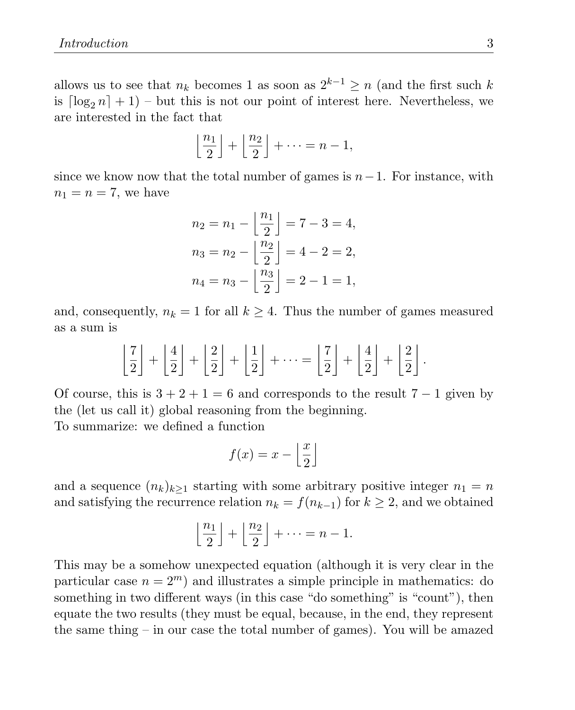allows us to see that  $n_k$  becomes 1 as soon as  $2^{k-1} \ge n$  (and the first such k is  $\lceil \log_2 n \rceil + 1$ ) – but this is not our point of interest here. Nevertheless, we are interested in the fact that

$$
\left\lfloor \frac{n_1}{2} \right\rfloor + \left\lfloor \frac{n_2}{2} \right\rfloor + \dots = n - 1,
$$

since we know now that the total number of games is  $n-1$ . For instance, with  $n_1 = n = 7$ , we have

$$
n_2 = n_1 - \left\lfloor \frac{n_1}{2} \right\rfloor = 7 - 3 = 4,
$$
  
\n
$$
n_3 = n_2 - \left\lfloor \frac{n_2}{2} \right\rfloor = 4 - 2 = 2,
$$
  
\n
$$
n_4 = n_3 - \left\lfloor \frac{n_3}{2} \right\rfloor = 2 - 1 = 1,
$$

and, consequently,  $n_k = 1$  for all  $k \geq 4$ . Thus the number of games measured as a sum is

$$
\left\lfloor \frac{7}{2} \right\rfloor + \left\lfloor \frac{4}{2} \right\rfloor + \left\lfloor \frac{2}{2} \right\rfloor + \left\lfloor \frac{1}{2} \right\rfloor + \dots = \left\lfloor \frac{7}{2} \right\rfloor + \left\lfloor \frac{4}{2} \right\rfloor + \left\lfloor \frac{2}{2} \right\rfloor.
$$

Of course, this is  $3 + 2 + 1 = 6$  and corresponds to the result  $7 - 1$  given by the (let us call it) global reasoning from the beginning.

To summarize: we defined a function

$$
f(x) = x - \left\lfloor \frac{x}{2} \right\rfloor
$$

and a sequence  $(n_k)_{k\geq 1}$  starting with some arbitrary positive integer  $n_1 = n$ and satisfying the recurrence relation  $n_k = f(n_{k-1})$  for  $k \geq 2$ , and we obtained

$$
\left\lfloor \frac{n_1}{2} \right\rfloor + \left\lfloor \frac{n_2}{2} \right\rfloor + \dots = n - 1.
$$

This may be a somehow unexpected equation (although it is very clear in the particular case  $n = 2^m$ ) and illustrates a simple principle in mathematics: do something in two different ways (in this case "do something" is "count"), then equate the two results (they must be equal, because, in the end, they represent the same thing – in our case the total number of games). You will be amazed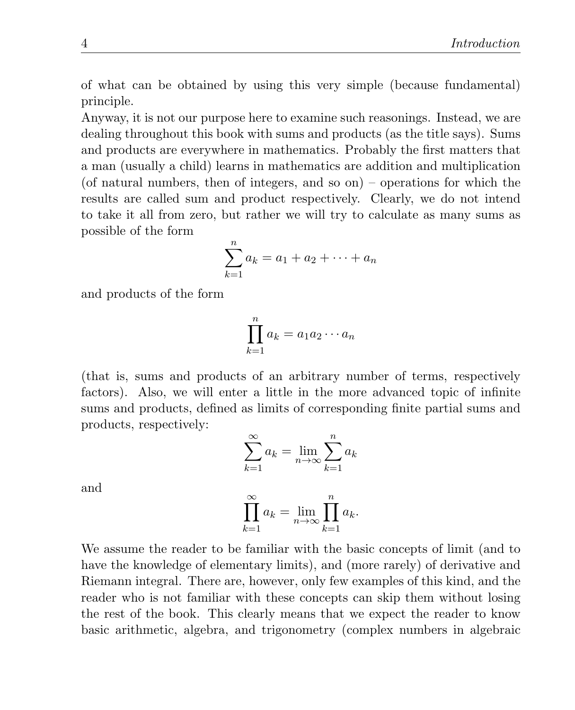of what can be obtained by using this very simple (because fundamental) principle.

Anyway, it is not our purpose here to examine such reasonings. Instead, we are dealing throughout this book with sums and products (as the title says). Sums and products are everywhere in mathematics. Probably the first matters that a man (usually a child) learns in mathematics are addition and multiplication (of natural numbers, then of integers, and so on) – operations for which the results are called sum and product respectively. Clearly, we do not intend to take it all from zero, but rather we will try to calculate as many sums as possible of the form

$$
\sum_{k=1}^{n} a_k = a_1 + a_2 + \dots + a_n
$$

and products of the form

$$
\prod_{k=1}^{n} a_k = a_1 a_2 \cdots a_n
$$

(that is, sums and products of an arbitrary number of terms, respectively factors). Also, we will enter a little in the more advanced topic of infinite sums and products, defined as limits of corresponding finite partial sums and products, respectively:

$$
\sum_{k=1}^{\infty} a_k = \lim_{n \to \infty} \sum_{k=1}^{n} a_k
$$

and

$$
\prod_{k=1}^{\infty} a_k = \lim_{n \to \infty} \prod_{k=1}^{n} a_k.
$$

We assume the reader to be familiar with the basic concepts of limit (and to have the knowledge of elementary limits), and (more rarely) of derivative and Riemann integral. There are, however, only few examples of this kind, and the reader who is not familiar with these concepts can skip them without losing the rest of the book. This clearly means that we expect the reader to know basic arithmetic, algebra, and trigonometry (complex numbers in algebraic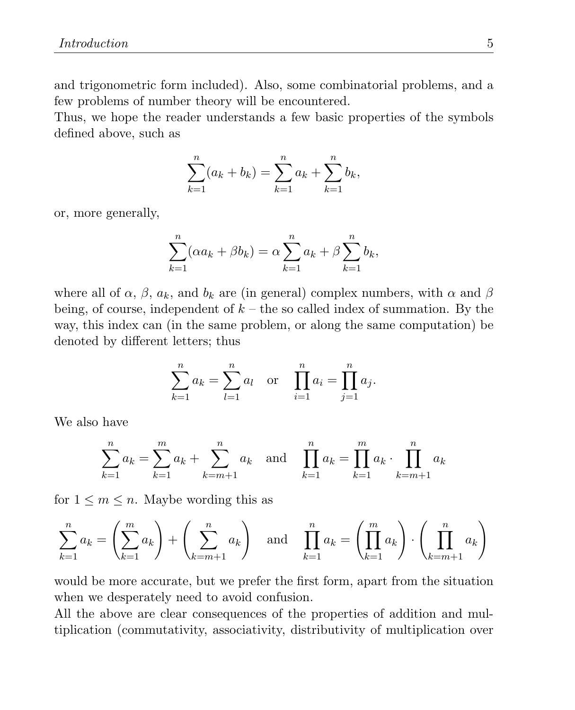and trigonometric form included). Also, some combinatorial problems, and a few problems of number theory will be encountered.

Thus, we hope the reader understands a few basic properties of the symbols defined above, such as

$$
\sum_{k=1}^{n} (a_k + b_k) = \sum_{k=1}^{n} a_k + \sum_{k=1}^{n} b_k,
$$

or, more generally,

$$
\sum_{k=1}^{n} (\alpha a_k + \beta b_k) = \alpha \sum_{k=1}^{n} a_k + \beta \sum_{k=1}^{n} b_k,
$$

where all of  $\alpha$ ,  $\beta$ ,  $a_k$ , and  $b_k$  are (in general) complex numbers, with  $\alpha$  and  $\beta$ being, of course, independent of  $k$  – the so called index of summation. By the way, this index can (in the same problem, or along the same computation) be denoted by different letters; thus

$$
\sum_{k=1}^{n} a_k = \sum_{l=1}^{n} a_l \quad \text{or} \quad \prod_{i=1}^{n} a_i = \prod_{j=1}^{n} a_j.
$$

We also have

$$
\sum_{k=1}^{n} a_k = \sum_{k=1}^{m} a_k + \sum_{k=m+1}^{n} a_k \text{ and } \prod_{k=1}^{n} a_k = \prod_{k=1}^{m} a_k \cdot \prod_{k=m+1}^{n} a_k
$$

for  $1 \leq m \leq n$ . Maybe wording this as

$$
\sum_{k=1}^{n} a_k = \left(\sum_{k=1}^{m} a_k\right) + \left(\sum_{k=m+1}^{n} a_k\right) \quad \text{and} \quad \prod_{k=1}^{n} a_k = \left(\prod_{k=1}^{m} a_k\right) \cdot \left(\prod_{k=m+1}^{n} a_k\right)
$$

would be more accurate, but we prefer the first form, apart from the situation when we desperately need to avoid confusion.

All the above are clear consequences of the properties of addition and multiplication (commutativity, associativity, distributivity of multiplication over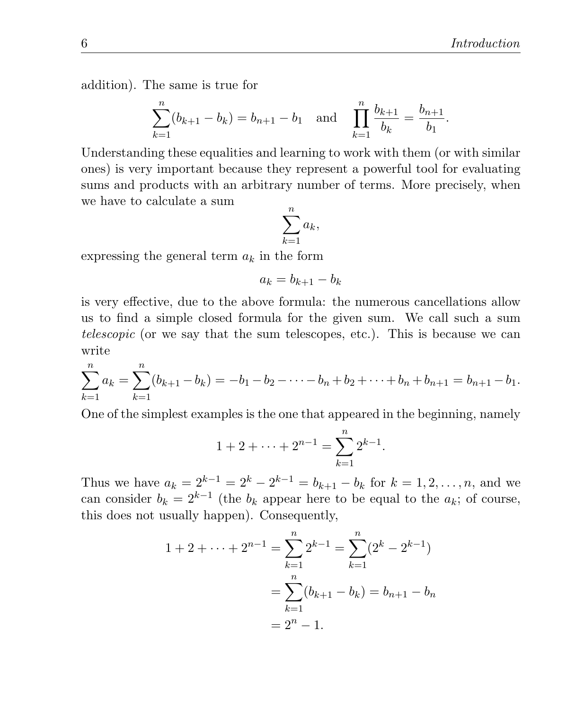addition). The same is true for

$$
\sum_{k=1}^{n} (b_{k+1} - b_k) = b_{n+1} - b_1 \text{ and } \prod_{k=1}^{n} \frac{b_{k+1}}{b_k} = \frac{b_{n+1}}{b_1}.
$$

Understanding these equalities and learning to work with them (or with similar ones) is very important because they represent a powerful tool for evaluating sums and products with an arbitrary number of terms. More precisely, when we have to calculate a sum

$$
\sum_{k=1}^n a_k,
$$

expressing the general term  $a_k$  in the form

$$
a_k = b_{k+1} - b_k
$$

is very effective, due to the above formula: the numerous cancellations allow us to find a simple closed formula for the given sum. We call such a sum telescopic (or we say that the sum telescopes, etc.). This is because we can write

$$
\sum_{k=1}^{n} a_k = \sum_{k=1}^{n} (b_{k+1} - b_k) = -b_1 - b_2 - \dots - b_n + b_2 + \dots + b_n + b_{n+1} = b_{n+1} - b_1.
$$

One of the simplest examples is the one that appeared in the beginning, namely

$$
1 + 2 + \dots + 2^{n-1} = \sum_{k=1}^{n} 2^{k-1}.
$$

Thus we have  $a_k = 2^{k-1} = 2^k - 2^{k-1} = b_{k+1} - b_k$  for  $k = 1, 2, ..., n$ , and we can consider  $b_k = 2^{k-1}$  (the  $b_k$  appear here to be equal to the  $a_k$ ; of course, this does not usually happen). Consequently,

$$
1 + 2 + \dots + 2^{n-1} = \sum_{k=1}^{n} 2^{k-1} = \sum_{k=1}^{n} (2^k - 2^{k-1})
$$

$$
= \sum_{k=1}^{n} (b_{k+1} - b_k) = b_{n+1} - b_n
$$

$$
= 2^n - 1.
$$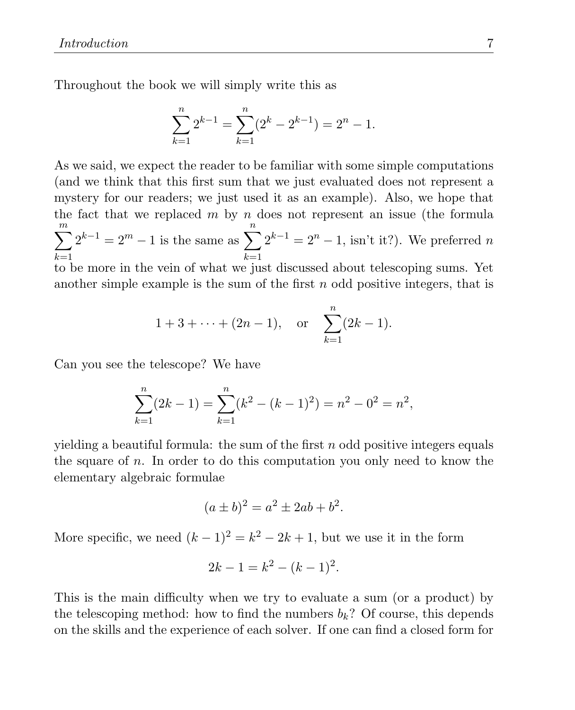Throughout the book we will simply write this as

$$
\sum_{k=1}^{n} 2^{k-1} = \sum_{k=1}^{n} (2^{k} - 2^{k-1}) = 2^{n} - 1.
$$

As we said, we expect the reader to be familiar with some simple computations (and we think that this first sum that we just evaluated does not represent a mystery for our readers; we just used it as an example). Also, we hope that the fact that we replaced  $m$  by  $n$  does not represent an issue (the formula  $\sum_{ }^m$  $_{k=1}$  $2^{k-1} = 2^m - 1$  is the same as  $\sum_{n=1}^{\infty}$  $_{k=1}$  $2^{k-1} = 2^n - 1$ , isn't it?). We preferred n to be more in the vein of what we just discussed about telescoping sums. Yet another simple example is the sum of the first n odd positive integers, that is

$$
1+3+\cdots+(2n-1)
$$
, or  $\sum_{k=1}^{n} (2k-1)$ .

Can you see the telescope? We have

$$
\sum_{k=1}^{n} (2k - 1) = \sum_{k=1}^{n} (k^2 - (k - 1)^2) = n^2 - 0^2 = n^2,
$$

vielding a beautiful formula: the sum of the first  $n$  odd positive integers equals the square of  $n$ . In order to do this computation you only need to know the elementary algebraic formulae

$$
(a \pm b)^2 = a^2 \pm 2ab + b^2.
$$

More specific, we need  $(k-1)^2 = k^2 - 2k + 1$ , but we use it in the form

$$
2k - 1 = k^2 - (k - 1)^2.
$$

This is the main difficulty when we try to evaluate a sum (or a product) by the telescoping method: how to find the numbers  $b_k$ ? Of course, this depends on the skills and the experience of each solver. If one can find a closed form for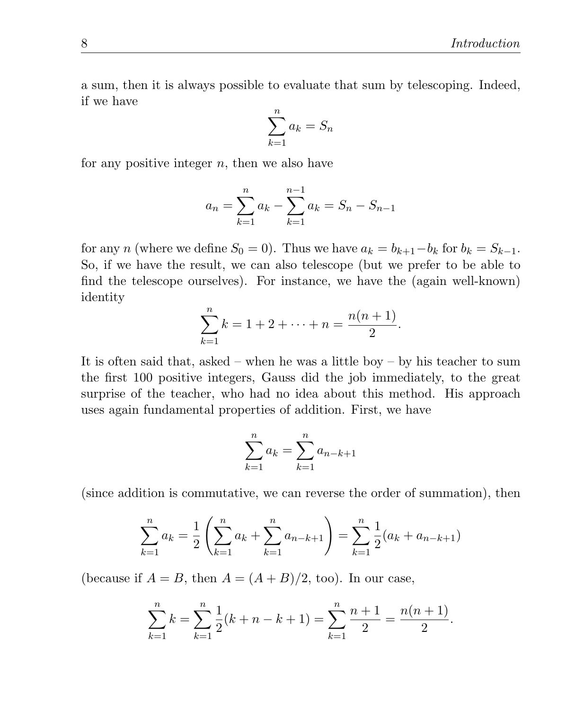a sum, then it is always possible to evaluate that sum by telescoping. Indeed, if we have

$$
\sum_{k=1}^{n} a_k = S_n
$$

for any positive integer  $n$ , then we also have

$$
a_n = \sum_{k=1}^n a_k - \sum_{k=1}^{n-1} a_k = S_n - S_{n-1}
$$

for any n (where we define  $S_0 = 0$ ). Thus we have  $a_k = b_{k+1} - b_k$  for  $b_k = S_{k-1}$ . So, if we have the result, we can also telescope (but we prefer to be able to find the telescope ourselves). For instance, we have the (again well-known) identity

$$
\sum_{k=1}^{n} k = 1 + 2 + \dots + n = \frac{n(n+1)}{2}.
$$

It is often said that, asked – when he was a little boy – by his teacher to sum the first 100 positive integers, Gauss did the job immediately, to the great surprise of the teacher, who had no idea about this method. His approach uses again fundamental properties of addition. First, we have

$$
\sum_{k=1}^{n} a_k = \sum_{k=1}^{n} a_{n-k+1}
$$

(since addition is commutative, we can reverse the order of summation), then

$$
\sum_{k=1}^{n} a_k = \frac{1}{2} \left( \sum_{k=1}^{n} a_k + \sum_{k=1}^{n} a_{n-k+1} \right) = \sum_{k=1}^{n} \frac{1}{2} (a_k + a_{n-k+1})
$$

(because if  $A = B$ , then  $A = (A + B)/2$ , too). In our case,

$$
\sum_{k=1}^{n} k = \sum_{k=1}^{n} \frac{1}{2}(k+n-k+1) = \sum_{k=1}^{n} \frac{n+1}{2} = \frac{n(n+1)}{2}.
$$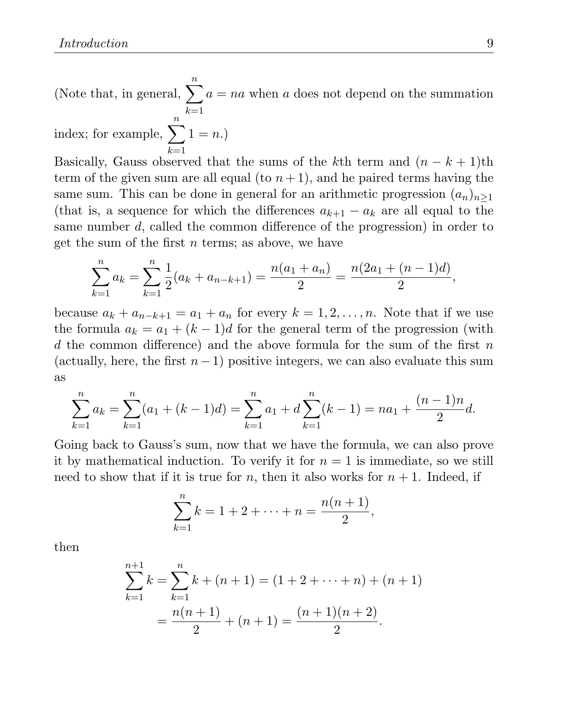(Note that, in general,  $\sum_{n=1}^n$ )  $k=1$  $a = na$  when a does not depend on the summation

index; for example, 
$$
\sum_{k=1}^{n} 1 = n
$$
.)

Basically, Gauss observed that the sums of the kth term and  $(n - k + 1)$ th term of the given sum are all equal (to  $n+1$ ), and he paired terms having the same sum. This can be done in general for an arithmetic progression  $(a_n)_{n\geq 1}$ (that is, a sequence for which the differences  $a_{k+1} - a_k$  are all equal to the same number d, called the common difference of the progression) in order to get the sum of the first  $n$  terms; as above, we have

$$
\sum_{k=1}^{n} a_k = \sum_{k=1}^{n} \frac{1}{2} (a_k + a_{n-k+1}) = \frac{n(a_1 + a_n)}{2} = \frac{n(2a_1 + (n-1)d)}{2},
$$

because  $a_k + a_{n-k+1} = a_1 + a_n$  for every  $k = 1, 2, ..., n$ . Note that if we use the formula  $a_k = a_1 + (k-1)d$  for the general term of the progression (with d the common difference) and the above formula for the sum of the first  $n$ (actually, here, the first  $n-1$ ) positive integers, we can also evaluate this sum as

$$
\sum_{k=1}^{n} a_k = \sum_{k=1}^{n} (a_1 + (k-1)d) = \sum_{k=1}^{n} a_1 + d \sum_{k=1}^{n} (k-1) = na_1 + \frac{(n-1)n}{2}d.
$$

Going back to Gauss's sum, now that we have the formula, we can also prove it by mathematical induction. To verify it for  $n = 1$  is immediate, so we still need to show that if it is true for n, then it also works for  $n + 1$ . Indeed, if

$$
\sum_{k=1}^{n} k = 1 + 2 + \dots + n = \frac{n(n+1)}{2},
$$

then

$$
\sum_{k=1}^{n+1} k = \sum_{k=1}^{n} k + (n+1) = (1+2+\dots+n) + (n+1)
$$

$$
= \frac{n(n+1)}{2} + (n+1) = \frac{(n+1)(n+2)}{2}.
$$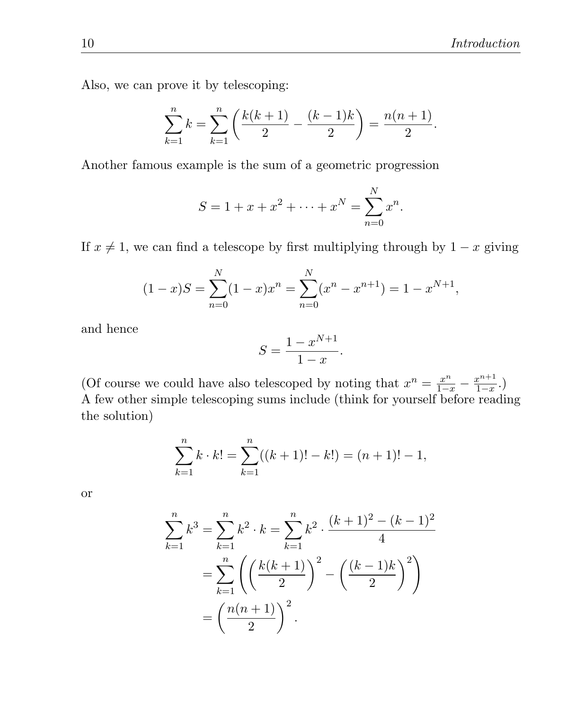Also, we can prove it by telescoping:

$$
\sum_{k=1}^{n} k = \sum_{k=1}^{n} \left( \frac{k(k+1)}{2} - \frac{(k-1)k}{2} \right) = \frac{n(n+1)}{2}.
$$

Another famous example is the sum of a geometric progression

$$
S = 1 + x + x^{2} + \dots + x^{N} = \sum_{n=0}^{N} x^{n}.
$$

If  $x \neq 1$ , we can find a telescope by first multiplying through by  $1 - x$  giving

$$
(1-x)S = \sum_{n=0}^{N} (1-x)x^{n} = \sum_{n=0}^{N} (x^{n} - x^{n+1}) = 1 - x^{N+1},
$$

and hence

$$
S = \frac{1 - x^{N+1}}{1 - x}.
$$

(Of course we could have also telescoped by noting that  $x^n = \frac{x^n}{1-x} - \frac{x^{n+1}}{1-x}$  $\frac{x^{n+1}}{1-x}$ .) A few other simple telescoping sums include (think for yourself before reading the solution)

$$
\sum_{k=1}^{n} k \cdot k! = \sum_{k=1}^{n} ((k+1)! - k!) = (n+1)! - 1,
$$

or

$$
\sum_{k=1}^{n} k^{3} = \sum_{k=1}^{n} k^{2} \cdot k = \sum_{k=1}^{n} k^{2} \cdot \frac{(k+1)^{2} - (k-1)^{2}}{4}
$$

$$
= \sum_{k=1}^{n} \left( \left( \frac{k(k+1)}{2} \right)^{2} - \left( \frac{(k-1)k}{2} \right)^{2} \right)
$$

$$
= \left( \frac{n(n+1)}{2} \right)^{2}.
$$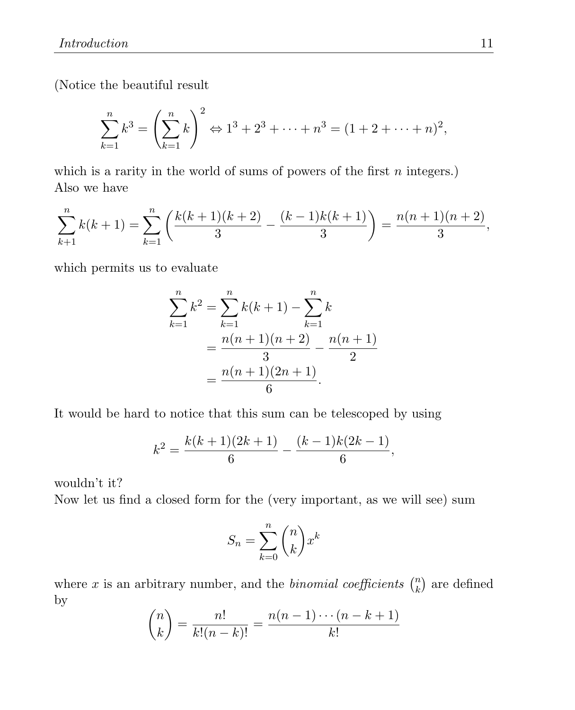(Notice the beautiful result

$$
\sum_{k=1}^{n} k^{3} = \left(\sum_{k=1}^{n} k\right)^{2} \Leftrightarrow 1^{3} + 2^{3} + \dots + n^{3} = (1 + 2 + \dots + n)^{2},
$$

which is a rarity in the world of sums of powers of the first  $n$  integers.) Also we have

$$
\sum_{k+1}^{n} k(k+1) = \sum_{k=1}^{n} \left( \frac{k(k+1)(k+2)}{3} - \frac{(k-1)k(k+1)}{3} \right) = \frac{n(n+1)(n+2)}{3},
$$

which permits us to evaluate

$$
\sum_{k=1}^{n} k^{2} = \sum_{k=1}^{n} k(k+1) - \sum_{k=1}^{n} k
$$
  
= 
$$
\frac{n(n+1)(n+2)}{3} - \frac{n(n+1)}{2}
$$
  
= 
$$
\frac{n(n+1)(2n+1)}{6}.
$$

It would be hard to notice that this sum can be telescoped by using

$$
k^{2} = \frac{k(k+1)(2k+1)}{6} - \frac{(k-1)k(2k-1)}{6},
$$

wouldn't it?

Now let us find a closed form for the (very important, as we will see) sum

$$
S_n = \sum_{k=0}^n \binom{n}{k} x^k
$$

where x is an arbitrary number, and the *binomial coefficients*  $\binom{n}{k}$  $\binom{n}{k}$  are defined by

$$
\binom{n}{k} = \frac{n!}{k!(n-k)!} = \frac{n(n-1)\cdots(n-k+1)}{k!}
$$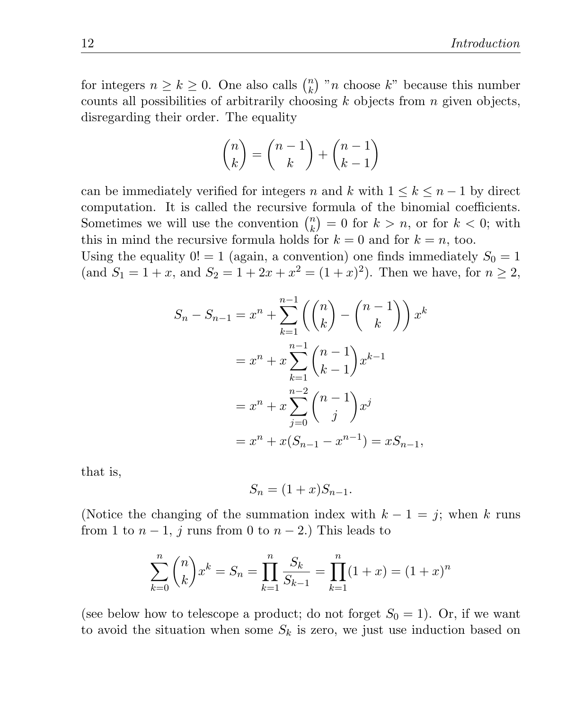for integers  $n \geq k \geq 0$ . One also calls  $\binom{n}{k}$  $\binom{n}{k}$  "*n* choose k" because this number counts all possibilities of arbitrarily choosing  $k$  objects from  $n$  given objects, disregarding their order. The equality

$$
\binom{n}{k} = \binom{n-1}{k} + \binom{n-1}{k-1}
$$

can be immediately verified for integers n and k with  $1 \leq k \leq n-1$  by direct computation. It is called the recursive formula of the binomial coefficients. Sometimes we will use the convention  $\binom{n}{k}$  $\binom{n}{k} = 0$  for  $k > n$ , or for  $k < 0$ ; with this in mind the recursive formula holds for  $k = 0$  and for  $k = n$ , too.

Using the equality  $0! = 1$  (again, a convention) one finds immediately  $S_0 = 1$ (and  $S_1 = 1 + x$ , and  $S_2 = 1 + 2x + x^2 = (1 + x)^2$ ). Then we have, for  $n \ge 2$ ,

$$
S_n - S_{n-1} = x^n + \sum_{k=1}^{n-1} \left( {n \choose k} - {n-1 \choose k} \right) x^k
$$
  
=  $x^n + x \sum_{k=1}^{n-1} {n-1 \choose k-1} x^{k-1}$   
=  $x^n + x \sum_{j=0}^{n-2} {n-1 \choose j} x^j$   
=  $x^n + x(S_{n-1} - x^{n-1}) = xS_{n-1},$ 

that is,

$$
S_n = (1+x)S_{n-1}.
$$

(Notice the changing of the summation index with  $k - 1 = j$ ; when k runs from 1 to  $n-1$ , j runs from 0 to  $n-2$ .) This leads to

$$
\sum_{k=0}^{n} {n \choose k} x^{k} = S_{n} = \prod_{k=1}^{n} \frac{S_{k}}{S_{k-1}} = \prod_{k=1}^{n} (1+x) = (1+x)^{n}
$$

(see below how to telescope a product; do not forget  $S_0 = 1$ ). Or, if we want to avoid the situation when some  $S_k$  is zero, we just use induction based on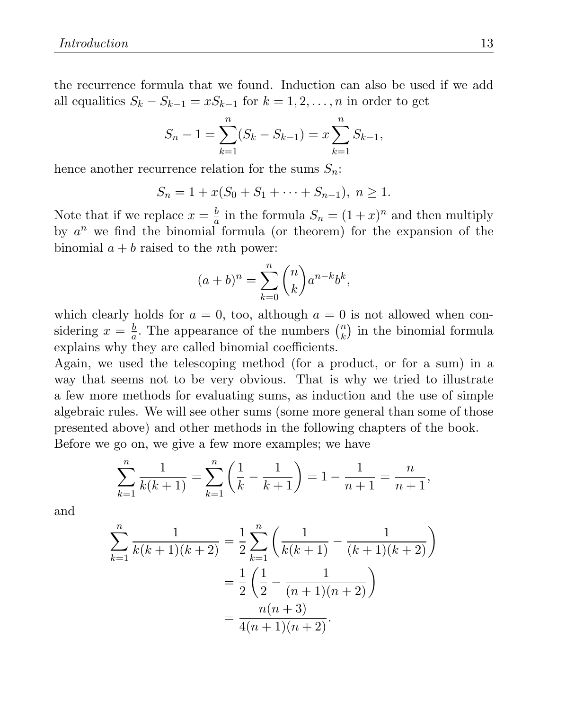the recurrence formula that we found. Induction can also be used if we add all equalities  $S_k - S_{k-1} = xS_{k-1}$  for  $k = 1, 2, ..., n$  in order to get

$$
S_n - 1 = \sum_{k=1}^n (S_k - S_{k-1}) = x \sum_{k=1}^n S_{k-1},
$$

hence another recurrence relation for the sums  $S_n$ :

$$
S_n = 1 + x(S_0 + S_1 + \dots + S_{n-1}), \ n \ge 1.
$$

Note that if we replace  $x = \frac{b}{a}$  $\frac{b}{a}$  in the formula  $S_n = (1+x)^n$  and then multiply by  $a^n$  we find the binomial formula (or theorem) for the expansion of the binomial  $a + b$  raised to the *n*th power:

$$
(a+b)^n = \sum_{k=0}^n \binom{n}{k} a^{n-k} b^k,
$$

which clearly holds for  $a = 0$ , too, although  $a = 0$  is not allowed when considering  $x = \frac{b}{a}$  $\frac{b}{a}$ . The appearance of the numbers  $\binom{n}{k}$  $\binom{n}{k}$  in the binomial formula explains why they are called binomial coefficients.

Again, we used the telescoping method (for a product, or for a sum) in a way that seems not to be very obvious. That is why we tried to illustrate a few more methods for evaluating sums, as induction and the use of simple algebraic rules. We will see other sums (some more general than some of those presented above) and other methods in the following chapters of the book. Before we go on, we give a few more examples; we have

$$
\sum_{k=1}^{n} \frac{1}{k(k+1)} = \sum_{k=1}^{n} \left(\frac{1}{k} - \frac{1}{k+1}\right) = 1 - \frac{1}{n+1} = \frac{n}{n+1},
$$

and

$$
\sum_{k=1}^{n} \frac{1}{k(k+1)(k+2)} = \frac{1}{2} \sum_{k=1}^{n} \left( \frac{1}{k(k+1)} - \frac{1}{(k+1)(k+2)} \right)
$$

$$
= \frac{1}{2} \left( \frac{1}{2} - \frac{1}{(n+1)(n+2)} \right)
$$

$$
= \frac{n(n+3)}{4(n+1)(n+2)}.
$$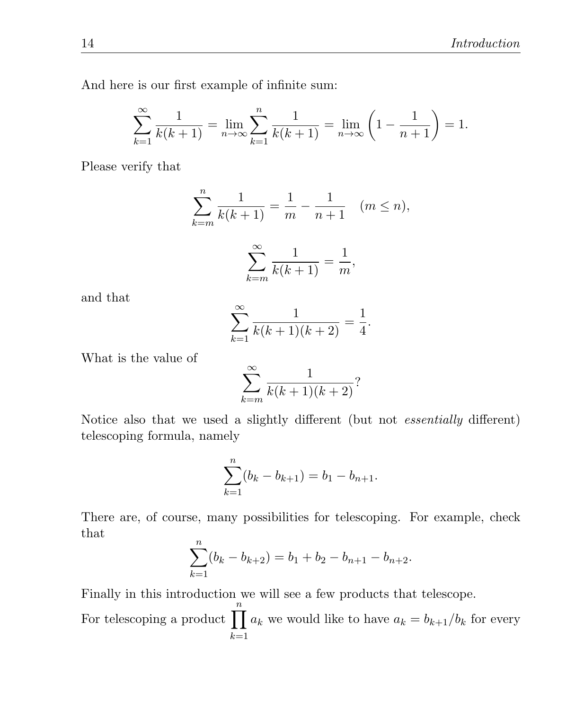And here is our first example of infinite sum:

$$
\sum_{k=1}^{\infty} \frac{1}{k(k+1)} = \lim_{n \to \infty} \sum_{k=1}^{n} \frac{1}{k(k+1)} = \lim_{n \to \infty} \left( 1 - \frac{1}{n+1} \right) = 1.
$$

Please verify that

$$
\sum_{k=m}^{n} \frac{1}{k(k+1)} = \frac{1}{m} - \frac{1}{n+1} \quad (m \le n),
$$

$$
\sum_{k=m}^{\infty} \frac{1}{k(k+1)} = \frac{1}{m},
$$

and that

$$
\sum_{k=1}^{\infty} \frac{1}{k(k+1)(k+2)} = \frac{1}{4}.
$$

 $k = m$ 

What is the value of

$$
\sum_{k=m}^{\infty} \frac{1}{k(k+1)(k+2)}
$$
?

Notice also that we used a slightly different (but not essentially different) telescoping formula, namely

$$
\sum_{k=1}^{n} (b_k - b_{k+1}) = b_1 - b_{n+1}.
$$

There are, of course, many possibilities for telescoping. For example, check that

$$
\sum_{k=1}^{n} (b_k - b_{k+2}) = b_1 + b_2 - b_{n+1} - b_{n+2}.
$$

Finally in this introduction we will see a few products that telescope.

For telescoping a product  $\prod_{k=1}^{n} a_k$  we would like to have  $a_k = b_{k+1}/b_k$  for every  $k=1$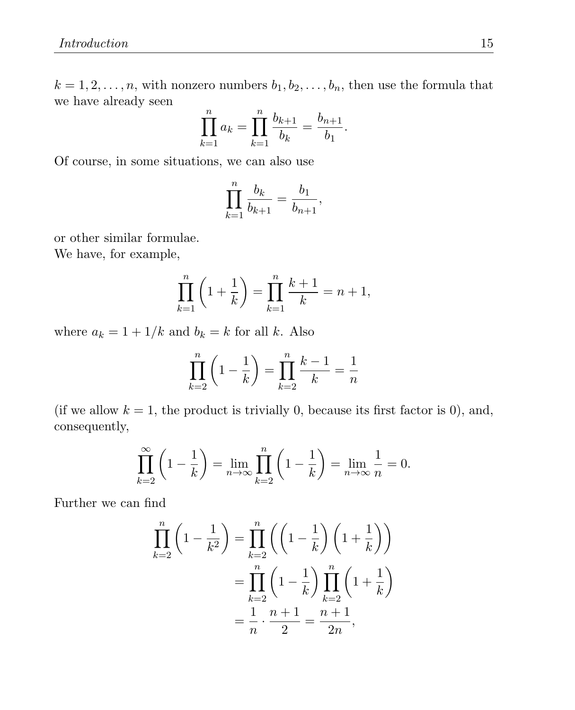$k = 1, 2, \ldots, n$ , with nonzero numbers  $b_1, b_2, \ldots, b_n$ , then use the formula that we have already seen

$$
\prod_{k=1}^{n} a_k = \prod_{k=1}^{n} \frac{b_{k+1}}{b_k} = \frac{b_{n+1}}{b_1}.
$$

Of course, in some situations, we can also use

$$
\prod_{k=1}^{n} \frac{b_k}{b_{k+1}} = \frac{b_1}{b_{n+1}},
$$

or other similar formulae.

We have, for example,

$$
\prod_{k=1}^{n} \left( 1 + \frac{1}{k} \right) = \prod_{k=1}^{n} \frac{k+1}{k} = n+1,
$$

where  $a_k = 1 + 1/k$  and  $b_k = k$  for all k. Also

$$
\prod_{k=2}^{n} \left( 1 - \frac{1}{k} \right) = \prod_{k=2}^{n} \frac{k-1}{k} = \frac{1}{n}
$$

(if we allow  $k = 1$ , the product is trivially 0, because its first factor is 0), and, consequently,

$$
\prod_{k=2}^{\infty} \left( 1 - \frac{1}{k} \right) = \lim_{n \to \infty} \prod_{k=2}^{n} \left( 1 - \frac{1}{k} \right) = \lim_{n \to \infty} \frac{1}{n} = 0.
$$

Further we can find

$$
\prod_{k=2}^{n} \left( 1 - \frac{1}{k^2} \right) = \prod_{k=2}^{n} \left( \left( 1 - \frac{1}{k} \right) \left( 1 + \frac{1}{k} \right) \right)
$$

$$
= \prod_{k=2}^{n} \left( 1 - \frac{1}{k} \right) \prod_{k=2}^{n} \left( 1 + \frac{1}{k} \right)
$$

$$
= \frac{1}{n} \cdot \frac{n+1}{2} = \frac{n+1}{2n},
$$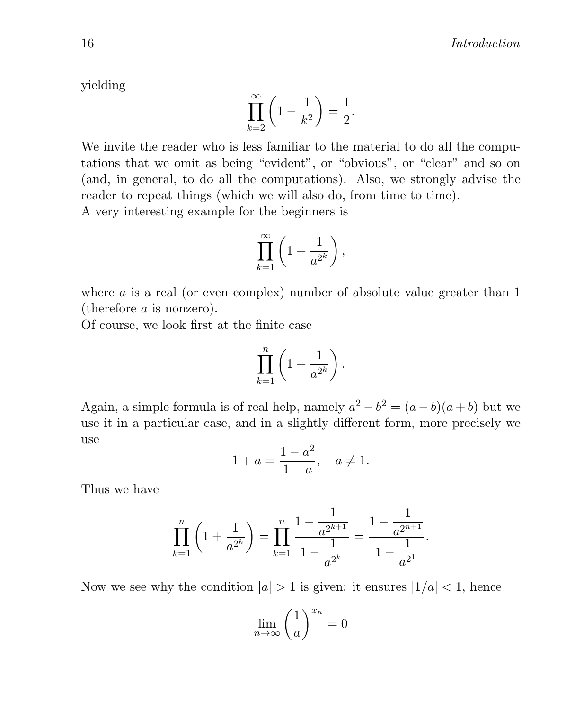yielding

$$
\prod_{k=2}^{\infty} \left( 1 - \frac{1}{k^2} \right) = \frac{1}{2}.
$$

We invite the reader who is less familiar to the material to do all the computations that we omit as being "evident", or "obvious", or "clear" and so on (and, in general, to do all the computations). Also, we strongly advise the reader to repeat things (which we will also do, from time to time).

A very interesting example for the beginners is

$$
\prod_{k=1}^{\infty} \left(1 + \frac{1}{a^{2^k}}\right),
$$

where  $a$  is a real (or even complex) number of absolute value greater than  $1$ (therefore a is nonzero).

Of course, we look first at the finite case

$$
\prod_{k=1}^n \left(1 + \frac{1}{a^{2^k}}\right).
$$

Again, a simple formula is of real help, namely  $a^2 - b^2 = (a - b)(a + b)$  but we use it in a particular case, and in a slightly different form, more precisely we use

$$
1 + a = \frac{1 - a^2}{1 - a}, \quad a \neq 1.
$$

Thus we have

$$
\prod_{k=1}^{n} \left( 1 + \frac{1}{a^{2^k}} \right) = \prod_{k=1}^{n} \frac{1 - \frac{1}{a^{2^{k+1}}}}{1 - \frac{1}{a^{2^k}}} = \frac{1 - \frac{1}{a^{2^{n+1}}}}{1 - \frac{1}{a^{2^1}}}.
$$

Now we see why the condition  $|a| > 1$  is given: it ensures  $|1/a| < 1$ , hence

$$
\lim_{n \to \infty} \left(\frac{1}{a}\right)^{x_n} = 0
$$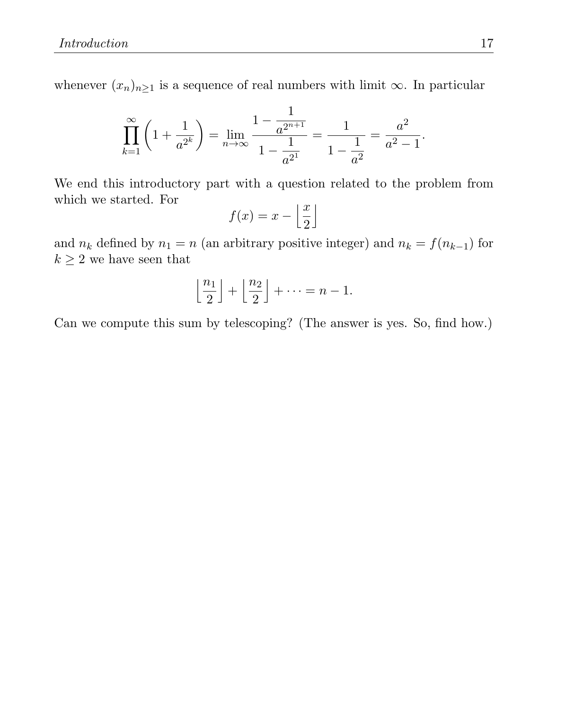whenever  $(x_n)_{n\geq 1}$  is a sequence of real numbers with limit  $\infty$ . In particular

$$
\prod_{k=1}^{\infty} \left( 1 + \frac{1}{a^{2^k}} \right) = \lim_{n \to \infty} \frac{1 - \frac{1}{a^{2^{n+1}}}}{1 - \frac{1}{a^{2^1}}} = \frac{1}{1 - \frac{1}{a^2}} = \frac{a^2}{a^2 - 1}.
$$

We end this introductory part with a question related to the problem from which we started. For

$$
f(x) = x - \left\lfloor \frac{x}{2} \right\rfloor
$$

and  $n_k$  defined by  $n_1 = n$  (an arbitrary positive integer) and  $n_k = f(n_{k-1})$  for  $k\geq 2$  we have seen that

$$
\left\lfloor \frac{n_1}{2} \right\rfloor + \left\lfloor \frac{n_2}{2} \right\rfloor + \dots = n - 1.
$$

Can we compute this sum by telescoping? (The answer is yes. So, find how.)